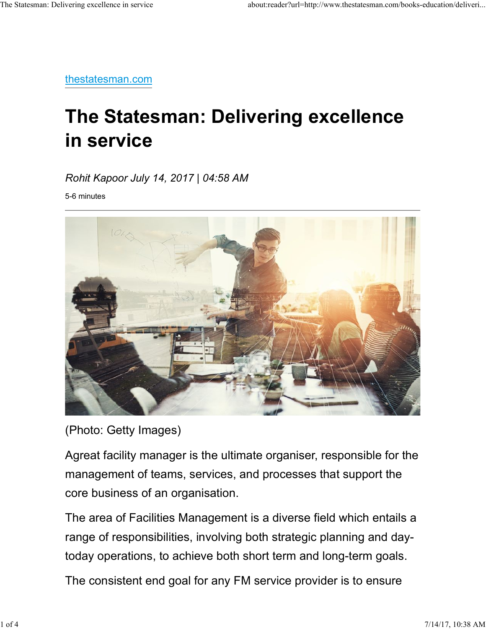thestatesman.com

## The Statesman: Delivering excellence in service

Rohit Kapoor July 14, 2017 | 04:58 AM

5-6 minutes



(Photo: Getty Images)

Agreat facility manager is the ultimate organiser, responsible for the management of teams, services, and processes that support the core business of an organisation.

The area of Facilities Management is a diverse field which entails a range of responsibilities, involving both strategic planning and daytoday operations, to achieve both short term and long-term goals. (Photo: Getty Images)<br>
Agreat facility manager is the ultimate organiser, responsible for the<br>
management of teams, services, and processes that support the<br>
core business of an organisation.<br>
The area of Facilities Manage

The consistent end goal for any FM service provider is to ensure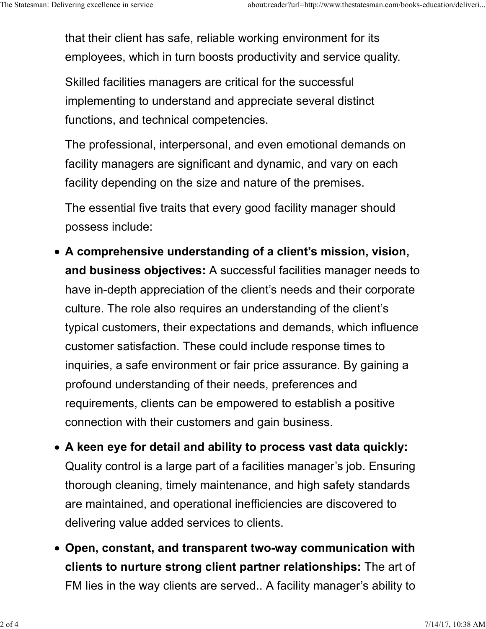that their client has safe, reliable working environment for its employees, which in turn boosts productivity and service quality. The Statesman: Delivering excellence in service about:reader?url=http://www.thestatesman.com/books-education/deliveri...<br>
that their client has safe, reliable working environment for its<br>
employees, which in turn boosts pr

> Skilled facilities managers are critical for the successful implementing to understand and appreciate several distinct functions, and technical competencies.

The professional, interpersonal, and even emotional demands on facility managers are significant and dynamic, and vary on each facility depending on the size and nature of the premises.

The essential five traits that every good facility manager should possess include:

- A comprehensive understanding of a client's mission, vision, and business objectives: A successful facilities manager needs to have in-depth appreciation of the client's needs and their corporate culture. The role also requires an understanding of the client's typical customers, their expectations and demands, which influence customer satisfaction. These could include response times to inquiries, a safe environment or fair price assurance. By gaining a profound understanding of their needs, preferences and requirements, clients can be empowered to establish a positive connection with their customers and gain business.
- A keen eye for detail and ability to process vast data quickly: Quality control is a large part of a facilities manager's job. Ensuring thorough cleaning, timely maintenance, and high safety standards are maintained, and operational inefficiencies are discovered to delivering value added services to clients. connection with their customers and gain business.<br>
• A keen eye for detail and ability to process vast data quickly:<br>
Quality control is a large part of a facilities manager's job. Ensuring<br>
thorough cleaning, timely mai
	- Open, constant, and transparent two-way communication with clients to nurture strong client partner relationships: The art of FM lies in the way clients are served.. A facility manager's ability to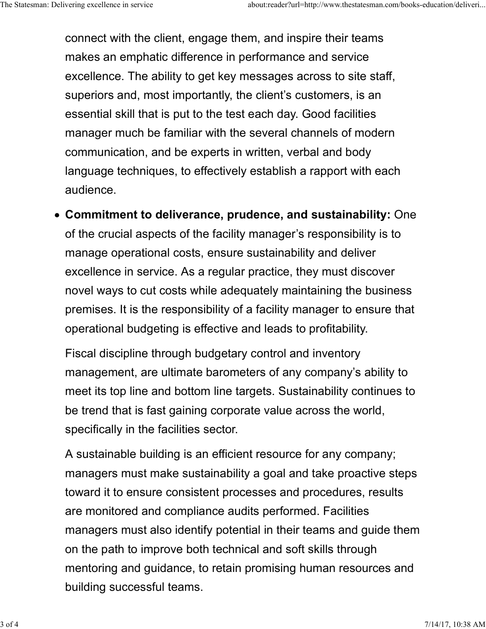connect with the client, engage them, and inspire their teams makes an emphatic difference in performance and service excellence. The ability to get key messages across to site staff, superiors and, most importantly, the client's customers, is an essential skill that is put to the test each day. Good facilities manager much be familiar with the several channels of modern communication, and be experts in written, verbal and body language techniques, to effectively establish a rapport with each audience. The Statesman: Delivering excellence in service about:reader?url=http://www.thestatesman.com/books-education/deliveri...<br>CONNECT With the client, engage them, and inspire their teams<br>makes an emphatic difference in perform

Commitment to deliverance, prudence, and sustainability: One of the crucial aspects of the facility manager's responsibility is to manage operational costs, ensure sustainability and deliver excellence in service. As a regular practice, they must discover novel ways to cut costs while adequately maintaining the business premises. It is the responsibility of a facility manager to ensure that operational budgeting is effective and leads to profitability.

Fiscal discipline through budgetary control and inventory management, are ultimate barometers of any company's ability to meet its top line and bottom line targets. Sustainability continues to be trend that is fast gaining corporate value across the world, specifically in the facilities sector.

A sustainable building is an efficient resource for any company; managers must make sustainability a goal and take proactive steps toward it to ensure consistent processes and procedures, results are monitored and compliance audits performed. Facilities managers must also identify potential in their teams and guide them on the path to improve both technical and soft skills through mentoring and guidance, to retain promising human resources and building successful teams. specifically in the facilities sector.<br>
A sustainable building is an efficient resource for any company;<br>
managers must make sustainability a goal and take proactive steps<br>
toward it to ensure consistent processes and proc